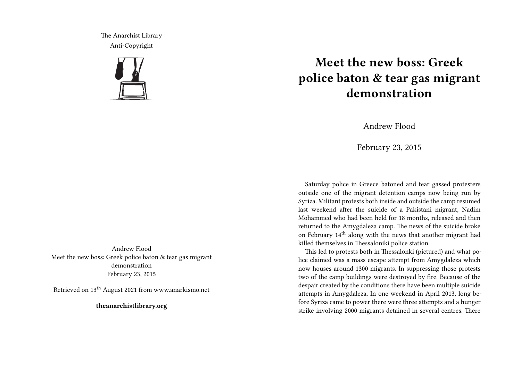The Anarchist Library Anti-Copyright



Andrew Flood Meet the new boss: Greek police baton & tear gas migrant demonstration February 23, 2015

Retrieved on 13th August 2021 from www.anarkismo.net

**theanarchistlibrary.org**

## **Meet the new boss: Greek police baton & tear gas migrant demonstration**

Andrew Flood

February 23, 2015

Saturday police in Greece batoned and tear gassed protesters outside one of the migrant detention camps now being run by Syriza. Militant protests both inside and outside the camp resumed last weekend after the suicide of a Pakistani migrant, Nadim Mohammed who had been held for 18 months, released and then returned to the Amygdaleza camp. The news of the suicide broke on February  $14<sup>th</sup>$  along with the news that another migrant had killed themselves in Thessaloniki police station.

This led to protests both in Thessalonki (pictured) and what police claimed was a mass escape attempt from Amygdaleza which now houses around 1300 migrants. In suppressing those protests two of the camp buildings were destroyed by fire. Because of the despair created by the conditions there have been multiple suicide attempts in Amygdaleza. In one weekend in April 2013, long before Syriza came to power there were three attempts and a hunger strike involving 2000 migrants detained in several centres. There